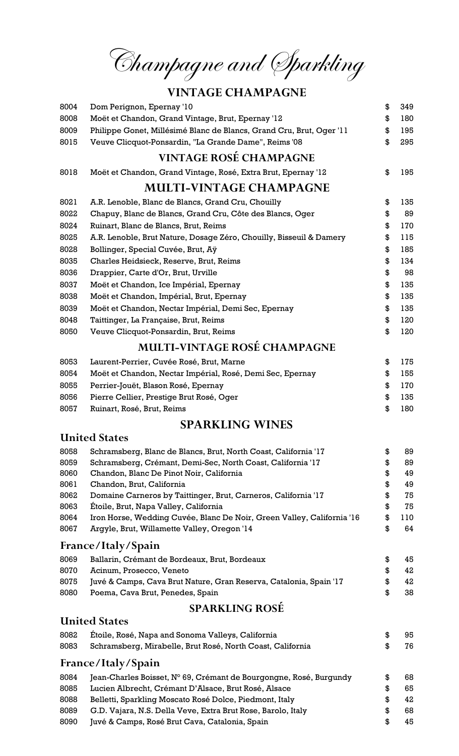Champagne and Sparkling

# VINTAGE CHAMPAGNE

| 8004         | Dom Perignon, Epernay '10                                                                                      | \$       | 349      |
|--------------|----------------------------------------------------------------------------------------------------------------|----------|----------|
| 8008         | Moët et Chandon, Grand Vintage, Brut, Epernay '12                                                              | \$       | 180      |
| 8009         | Philippe Gonet, Millésimé Blanc de Blancs, Grand Cru, Brut, Oger '11                                           | \$       | 195      |
| 8015         | Veuve Clicquot-Ponsardin, "La Grande Dame", Reims '08                                                          | \$       | 295      |
|              | <b>VINTAGE ROSÉ CHAMPAGNE</b>                                                                                  |          |          |
| 8018         | Moët et Chandon, Grand Vintage, Rosé, Extra Brut, Epernay '12                                                  | \$       | 195      |
|              | <b>MULTI-VINTAGE CHAMPAGNE</b>                                                                                 |          |          |
| 8021         | A.R. Lenoble, Blanc de Blancs, Grand Cru, Chouilly                                                             | \$       | 135      |
| 8022         | Chapuy, Blanc de Blancs, Grand Cru, Côte des Blancs, Oger                                                      | \$       | 89       |
| 8024         | Ruinart, Blanc de Blancs, Brut, Reims                                                                          | \$       | 170      |
| 8025         | A.R. Lenoble, Brut Nature, Dosage Zéro, Chouilly, Bisseuil & Damery                                            | \$       | 115      |
| 8028         | Bollinger, Special Cuvée, Brut, Aÿ                                                                             | \$       | 185      |
| 8035         | Charles Heidsieck, Reserve, Brut, Reims                                                                        | \$       | 134      |
| 8036         | Drappier, Carte d'Or, Brut, Urville                                                                            | \$       | 98       |
| 8037         | Moët et Chandon, Ice Impérial, Epernay                                                                         | \$       | 135      |
| 8038         | Moët et Chandon, Impérial, Brut, Epernay                                                                       | \$       | 135      |
| 8039         | Moët et Chandon, Nectar Impérial, Demi Sec, Epernay                                                            | \$       | 135      |
| 8048         | Taittinger, La Française, Brut, Reims                                                                          | \$       | 120      |
| 8050         | Veuve Clicquot-Ponsardin, Brut, Reims                                                                          | \$       | 120      |
|              | <b>MULTI-VINTAGE ROSÉ CHAMPAGNE</b>                                                                            |          |          |
| 8053         | Laurent-Perrier, Cuvée Rosé, Brut, Marne                                                                       | \$       | 175      |
| 8054         | Moët et Chandon, Nectar Impérial, Rosé, Demi Sec, Epernay                                                      | \$       | 155      |
| 8055         | Perrier-Jouët, Blason Rosé, Epernay                                                                            | \$       | 170      |
| 8056         | Pierre Cellier, Prestige Brut Rosé, Oger                                                                       | \$       | 135      |
| 8057         | Ruinart, Rosé, Brut, Reims                                                                                     | \$       | 180      |
|              | <b>SPARKLING WINES</b>                                                                                         |          |          |
|              | <b>United States</b>                                                                                           |          |          |
| 8058         | Schramsberg, Blanc de Blancs, Brut, North Coast, California '17                                                | \$       | 89       |
| 8059         | Schramsberg, Crémant, Demi-Sec, North Coast, California '17                                                    | \$       | 89       |
| 8060         | Chandon, Blanc De Pinot Noir, California                                                                       | \$       | 49       |
| 8061         | Chandon, Brut, California                                                                                      | \$       | 49       |
| 8062         | Domaine Carneros by Taittinger, Brut, Carneros, California '17                                                 | \$       | 75       |
| 8063         | Étoile, Brut, Napa Valley, California                                                                          | \$       | 75       |
| 8064         | Iron Horse, Wedding Cuvée, Blanc De Noir, Green Valley, California '16                                         | \$       | 110      |
| 8067         | Argyle, Brut, Willamette Valley, Oregon '14                                                                    | \$       | 64       |
|              | France/Italy/Spain                                                                                             |          |          |
| 8069         | Ballarin, Crémant de Bordeaux, Brut, Bordeaux                                                                  | \$       | 45       |
| 8070         | Acinum, Prosecco, Veneto                                                                                       | \$       | 42       |
| 8075<br>8080 | Juvé & Camps, Cava Brut Nature, Gran Reserva, Catalonia, Spain '17<br>Poema, Cava Brut, Penedes, Spain         | \$<br>\$ | 42<br>38 |
|              | <b>SPARKLING ROSÉ</b>                                                                                          |          |          |
|              | <b>United States</b>                                                                                           |          |          |
| 8082         | Étoile, Rosé, Napa and Sonoma Valleys, California                                                              | \$       | 95       |
| 8083         | Schramsberg, Mirabelle, Brut Rosé, North Coast, California                                                     | \$       | 76       |
|              | France/Italy/Spain                                                                                             |          |          |
| 8084         |                                                                                                                |          |          |
|              | Jean-Charles Boisset, N° 69, Crémant de Bourgongne, Rosé, Burgundy                                             | \$       | 68       |
| 8085         | Lucien Albrecht, Crémant D'Alsace, Brut Rosé, Alsace                                                           | \$       | 65       |
| 8088         | Belletti, Sparkling Moscato Rosé Dolce, Piedmont, Italy                                                        | \$       | 42       |
| 8089<br>8090 | G.D. Vajara, N.S. Della Veve, Extra Brut Rose, Barolo, Italy<br>Juvé & Camps, Rosé Brut Cava, Catalonia, Spain | \$<br>\$ | 68<br>45 |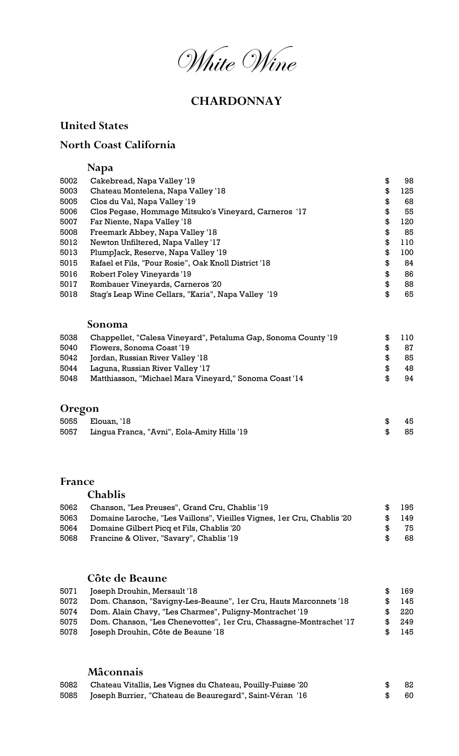White Wine

## **CHARDONNAY**

### United States

### North Coast California

## Napa

| 5002         | Cakebread, Napa Valley '19                                                                  | \$       | 98        |
|--------------|---------------------------------------------------------------------------------------------|----------|-----------|
| 5003         | Chateau Montelena, Napa Valley '18                                                          | \$       | 125       |
| 5005         | Clos du Val, Napa Valley '19                                                                | \$       | 68        |
| 5006         | Clos Pegase, Hommage Mitsuko's Vineyard, Carneros '17                                       | \$       | 55        |
| 5007         | Far Niente, Napa Valley '18                                                                 | \$       | 120       |
| 5008         | Freemark Abbey, Napa Valley '18                                                             | \$       | 85        |
| 5012         | Newton Unfiltered, Napa Valley '17                                                          | \$       | 110       |
| 5013         | PlumpJack, Reserve, Napa Valley '19                                                         | \$       | 100       |
| 5015         | Rafael et Fils, "Pour Rosie", Oak Knoll District '18                                        | \$       | 84        |
| 5016         | Robert Foley Vineyards '19                                                                  | \$       | 86        |
| 5017         | Rombauer Vineyards, Carneros '20                                                            | \$       | 88        |
| 5018         | Stag's Leap Wine Cellars, "Karia", Napa Valley '19                                          | \$       | 65        |
|              | Sonoma                                                                                      |          |           |
| 5038<br>5040 | Chappellet, "Calesa Vineyard", Petaluma Gap, Sonoma County '19<br>Flowers, Sonoma Coast '19 | \$<br>\$ | 110<br>87 |

|      | 5042 Jordan, Russian River Valley '18 |  |  |  | $\textcolor{red}{\textbf{\$}}\ \textcolor{red}{\textbf{\$}}\ \textcolor{red}{\textbf{\$}}\ \textcolor{red}{\textbf{\$}}\ \textcolor{red}{\textbf{\$}}\ \textcolor{red}{\textbf{\$}}\ \textcolor{red}{\textbf{\$}}\ \textcolor{red}{\textbf{\$}}\ \textcolor{red}{\textbf{\$}}\ \textcolor{red}{\textbf{\$}}\ \textcolor{red}{\textbf{\$}}\ \textcolor{red}{\textbf{\$}}\ \textcolor{red}{\textbf{\$}}\ \textcolor{red}{\textbf{\$}}\ \textcolor{red}{\textbf{\$}}\ \textcolor{red}{\textbf{\$}}\ \textcolor{red}{\textbf{\$}}$ |  |
|------|---------------------------------------|--|--|--|--------------------------------------------------------------------------------------------------------------------------------------------------------------------------------------------------------------------------------------------------------------------------------------------------------------------------------------------------------------------------------------------------------------------------------------------------------------------------------------------------------------------------------|--|
| ---- |                                       |  |  |  |                                                                                                                                                                                                                                                                                                                                                                                                                                                                                                                                |  |

|      | 5044 Laguna, Russian River Valley '17                  | -48 |
|------|--------------------------------------------------------|-----|
| 5048 | Matthiasson, "Michael Mara Vineyard," Sonoma Coast '14 | -94 |

### Oregon

| 5055 Elouan, '18                                 | -45  |
|--------------------------------------------------|------|
| 5057 Lingua Franca, "Avni", Eola-Amity Hills '19 | - 85 |

### France

## Chablis

| 5062 | Chanson, "Les Preuses", Grand Cru, Chablis '19                         | -SG      | 195    |
|------|------------------------------------------------------------------------|----------|--------|
| 5063 | Domaine Laroche, "Les Vaillons", Vieilles Vignes, 1er Cru, Chablis '20 |          | \$ 149 |
|      | 5064 Domaine Gilbert Picq et Fils, Chablis '20                         | <b>R</b> | 75     |
| 5068 | Francine & Oliver, "Savary", Chablis '19                               | Ж.       | -68    |

### Côte de Beaune

| 5071 | Joseph Drouhin, Mersault '18                                       | 169 |
|------|--------------------------------------------------------------------|-----|
| 5072 | Dom. Chanson, "Savigny-Les-Beaune", 1 er Cru, Hauts Marconnets '18 | 145 |
| 5074 | Dom. Alain Chavy, "Les Charmes", Puligny-Montrachet '19            | 220 |
| 5075 | Dom. Chanson, "Les Chenevottes", 1er Cru, Chassagne-Montrachet '17 | 249 |
| 5078 | Joseph Drouhin, Côte de Beaune '18                                 | 145 |

### Mâconnais

| 5082 Chateau Vitallis, Les Vignes du Chateau, Pouilly-Fuisse '20 | -82  |
|------------------------------------------------------------------|------|
| 5085 Joseph Burrier, "Chateau de Beauregard", Saint-Véran '16    | - 60 |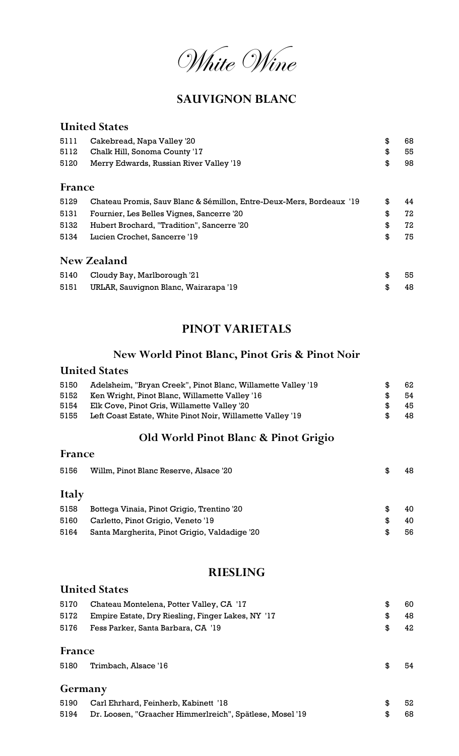White Wine

### SAUVIGNON BLANC

## United States 5111 Cakebread, Napa Valley '20 \$ 68 5112 Chalk Hill, Sonoma County '17 \$ 55 5120 Merry Edwards, Russian River Valley '19 **\$** 98 France 5129 Chateau Promis, Sauv Blanc & Sémillon, Entre-Deux-Mers, Bordeaux '19 \$44 5131 Fournier, Les Belles Vignes, Sancerre '20 \$ 72 5132 Hubert Brochard, "Tradition", Sancerre '20 \$ 72 5134 Lucien Crochet, Sancerre '19 \$ 75 New Zealand 5140 Cloudy Bay, Marlborough '21 55 5151 URLAR, Sauvignon Blanc, Wairarapa '19 **\$48**

### PINOT VARIETALS

#### New World Pinot Blanc, Pinot Gris & Pinot Noir

#### United States

| 5150 | Adelsheim, "Bryan Creek", Pinot Blanc, Willamette Valley '19 |     | 62. |
|------|--------------------------------------------------------------|-----|-----|
| 5152 | Ken Wright, Pinot Blanc, Willamette Valley '16               | Ж.  | -54 |
| 5154 | Elk Cove, Pinot Gris, Willamette Valley '20                  | -96 | 45. |
| 5155 | Left Coast Estate, White Pinot Noir, Willamette Valley '19   |     | 48. |

#### Old World Pinot Blanc & Pinot Grigio

| France |                                               |    |    |
|--------|-----------------------------------------------|----|----|
| 5156   | Willm, Pinot Blanc Reserve, Alsace '20        | S  | 48 |
| Italy  |                                               |    |    |
| 5158   | Bottega Vinaia, Pinot Grigio, Trentino '20    | \$ | 40 |
| 5160   | Carletto, Pinot Grigio, Veneto '19            | \$ | 40 |
| 5164   | Santa Margherita, Pinot Grigio, Valdadige '20 | \$ | 56 |

### RIESLING

### United States

| 5170 | Chateau Montelena, Potter Valley, CA '17               |           | 60. |
|------|--------------------------------------------------------|-----------|-----|
|      | 5172 Empire Estate, Dry Riesling, Finger Lakes, NY '17 | <b>SG</b> | 48  |
| 5176 | Fess Parker, Santa Barbara, CA '19                     | - SS      | 42  |

#### France

| 5180 | Trimbach, Alsace '16 | 54 |
|------|----------------------|----|
|      |                      |    |

### Germany

| 5190 Carl Ehrhard, Feinherb, Kabinett '18                     | - 52 |
|---------------------------------------------------------------|------|
| 5194 Dr. Loosen, "Graacher Himmerlreich", Spätlese, Mosel '19 | - 68 |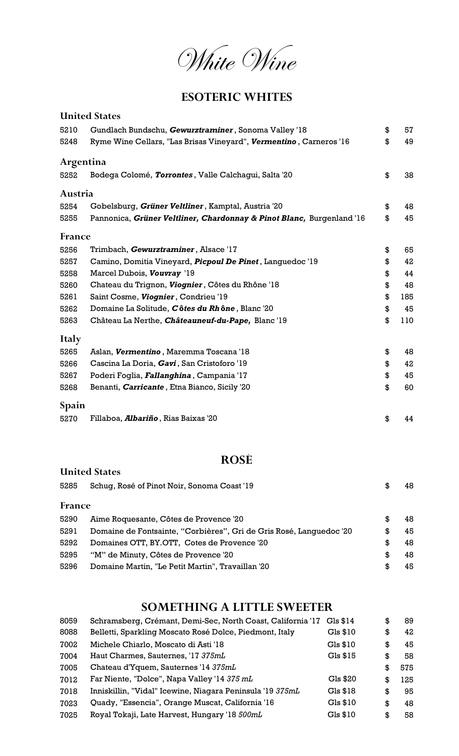White Wine

### ESOTERIC WHITES

|           | <b>United States</b>                                                  |           |
|-----------|-----------------------------------------------------------------------|-----------|
| 5210      | Gundlach Bundschu, Gewurztraminer, Sonoma Valley '18                  | \$<br>57  |
| 5248      | Ryme Wine Cellars, "Las Brisas Vineyard", Vermentino, Carneros '16    | \$<br>49  |
| Argentina |                                                                       |           |
| 5252      | Bodega Colomé, Torrontes, Valle Calchagui, Salta '20                  | \$<br>38  |
| Austria   |                                                                       |           |
| 5254      | Gobelsburg, Grüner Veltliner, Kamptal, Austria '20                    | \$<br>48  |
| 5255      | Pannonica, Grüner Veltliner, Chardonnay & Pinot Blanc, Burgenland '16 | \$<br>45  |
| France    |                                                                       |           |
| 5256      | Trimbach, Gewurztraminer, Alsace '17                                  | \$<br>65  |
| 5257      | Camino, Domitia Vineyard, <i>Picpoul De Pinet</i> , Languedoc '19     | \$<br>42  |
| 5258      | Marcel Dubois, Vouvray '19                                            | \$<br>44  |
| 5260      | Chateau du Trignon, Viognier, Côtes du Rhône '18                      | \$<br>48  |
| 5261      | Saint Cosme, Viognier, Condrieu '19                                   | \$<br>185 |
| 5262      | Domaine La Solitude, Côtes du Rhône, Blanc '20                        | \$<br>45  |
| 5263      | Château La Nerthe, Châteauneuf-du-Pape, Blanc '19                     | \$<br>110 |
| Italy     |                                                                       |           |
| 5265      | Aslan, Vermentino, Maremma Toscana '18                                | \$<br>48  |
| 5266      | Cascina La Doria, Gavi, San Cristoforo '19                            | \$<br>42  |
| 5267      | Poderi Foglia, <i>Fallanghina</i> , Campania '17                      | \$<br>45  |
| 5268      | Benanti, <i>Carricante</i> , Etna Bianco, Sicily '20                  | \$<br>60  |
| Spain     |                                                                       |           |
| 5270      | Fillaboa, <i>Albariño</i> , Rias Baixas '20                           | \$<br>44  |

## ROSÉ

|        | <b>United States</b>                                                |     |    |
|--------|---------------------------------------------------------------------|-----|----|
| 5285   | Schuq, Rosé of Pinot Noir, Sonoma Coast '19                         | \$. | 48 |
| France |                                                                     |     |    |
| 5290   | Aime Roquesante, Côtes de Provence '20                              | S   | 48 |
| 5291   | Domaine de Fontsainte, "Corbières", Gri de Gris Rosé, Languedoc '20 | S   | 45 |
| 5292   | Domaines OTT, BY.OTT, Cotes de Provence '20                         | S   | 48 |
| 5295   | "M" de Minuty, Côtes de Provence '20                                | \$. | 48 |
| 5296   | Domaine Martin, "Le Petit Martin", Travaillan '20                   | S   | 45 |

## SOMETHING A LITTLE SWEETER

| 8059 | Schramsberg, Crémant, Demi-Sec, North Coast, California '17 | $Gls$ \$14 | \$  | 89  |
|------|-------------------------------------------------------------|------------|-----|-----|
| 8088 | Belletti, Sparkling Moscato Rosé Dolce, Piedmont, Italy     | Gls \$10   | \$  | 42  |
| 7002 | Michele Chiarlo, Moscato di Asti '18                        | Gls \$10   | \$  | 45  |
| 7004 | Haut Charmes, Sauternes, '17 375mL                          | Gls \$15   | \$  | 58  |
| 7005 | Chateau d'Yquem, Sauternes '14 375mL                        |            | S   | 575 |
| 7012 | Far Niente, "Dolce", Napa Valley '14 375 mL                 | Gls \$20   | \$. | 125 |
| 7018 | Inniskillin, "Vidal" Icewine, Niagara Peninsula '19 375mL   | Gls \$18   | \$  | 95  |
| 7023 | Quady, "Essencia", Orange Muscat, California '16            | Gls \$10   | \$  | 48  |
| 7025 | Royal Tokaji, Late Harvest, Hungary '18 500mL               | Gls \$10   | \$  | 58  |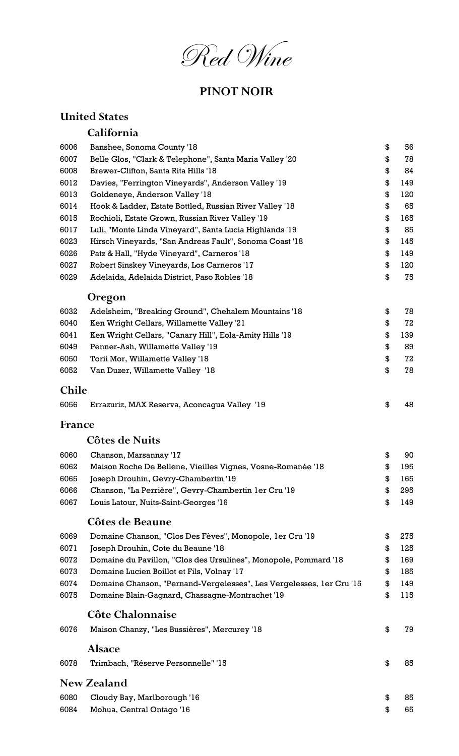Red Wine

## PINOT NOIR

## United States

## California

| 6006         | Banshee, Sonoma County '18                                           | \$<br>56  |
|--------------|----------------------------------------------------------------------|-----------|
| 6007         | Belle Glos, "Clark & Telephone", Santa Maria Valley '20              | \$<br>78  |
| 6008         | Brewer-Clifton, Santa Rita Hills '18                                 | \$<br>84  |
| 6012         | Davies, "Ferrington Vineyards", Anderson Valley '19                  | \$<br>149 |
| 6013         | Goldeneye, Anderson Valley '18                                       | \$<br>120 |
| 6014         | Hook & Ladder, Estate Bottled, Russian River Valley '18              | \$<br>65  |
| 6015         | Rochioli, Estate Grown, Russian River Valley '19                     | \$<br>165 |
| 6017         | Luli, "Monte Linda Vineyard", Santa Lucia Highlands '19              | \$<br>85  |
| 6023         | Hirsch Vineyards, "San Andreas Fault", Sonoma Coast '18              | \$<br>145 |
| 6026         | Patz & Hall, "Hyde Vineyard", Carneros '18                           | \$<br>149 |
| 6027         | Robert Sinskey Vineyards, Los Carneros '17                           | \$<br>120 |
| 6029         | Adelaida, Adelaida District, Paso Robles '18                         | \$<br>75  |
|              | <b>Oregon</b>                                                        |           |
| 6032         | Adelsheim, "Breaking Ground", Chehalem Mountains '18                 | \$<br>78  |
| 6040         | Ken Wright Cellars, Willamette Valley '21                            | \$<br>72  |
| 6041         | Ken Wright Cellars, "Canary Hill", Eola-Amity Hills '19              | \$<br>139 |
| 6049         | Penner-Ash, Willamette Valley '19                                    | \$<br>89  |
| 6050         | Torii Mor, Willamette Valley '18                                     | \$<br>72  |
| 6052         | Van Duzer, Willamette Valley '18                                     | \$<br>78  |
| <b>Chile</b> |                                                                      |           |
| 6056         | Errazuriz, MAX Reserva, Aconcagua Valley '19                         | \$<br>48  |
| France       |                                                                      |           |
|              | Côtes de Nuits                                                       |           |
| 6060         | Chanson, Marsannay '17                                               | \$<br>90  |
| 6062         | Maison Roche De Bellene, Vieilles Vignes, Vosne-Romanée '18          | \$<br>195 |
| 6065         | Joseph Drouhin, Gevry-Chambertin '19                                 | \$<br>165 |
| 6066         | Chanson, "La Perrière", Gevry-Chambertin 1er Cru '19                 | \$<br>295 |
| 6067         | Louis Latour, Nuits-Saint-Georges '16                                | \$<br>149 |
|              |                                                                      |           |
|              | <b>Côtes de Beaune</b>                                               |           |
| 6069         | Domaine Chanson, "Clos Des Fèves", Monopole, 1er Cru '19             | \$<br>275 |
| 6071         | Joseph Drouhin, Cote du Beaune '18                                   | \$<br>125 |
| 6072         | Domaine du Pavillon, "Clos des Ursulines", Monopole, Pommard '18     | \$<br>169 |
| 6073         | Domaine Lucien Boillot et Fils, Volnay '17                           | \$<br>185 |
| 6074         | Domaine Chanson, "Pernand-Vergelesses", Les Vergelesses, 1er Cru '15 | \$<br>149 |
| 6075         | Domaine Blain-Gagnard, Chassagne-Montrachet '19                      | \$<br>115 |
|              | Côte Chalonnaise                                                     |           |
| 6076         | Maison Chanzy, "Les Bussières", Mercurey '18                         | \$<br>79  |
|              | <b>Alsace</b>                                                        |           |
| 6078         | Trimbach, "Réserve Personnelle" '15                                  | \$<br>85  |
|              | <b>New Zealand</b>                                                   |           |
| 6080         | Cloudy Bay, Marlborough '16                                          | \$<br>85  |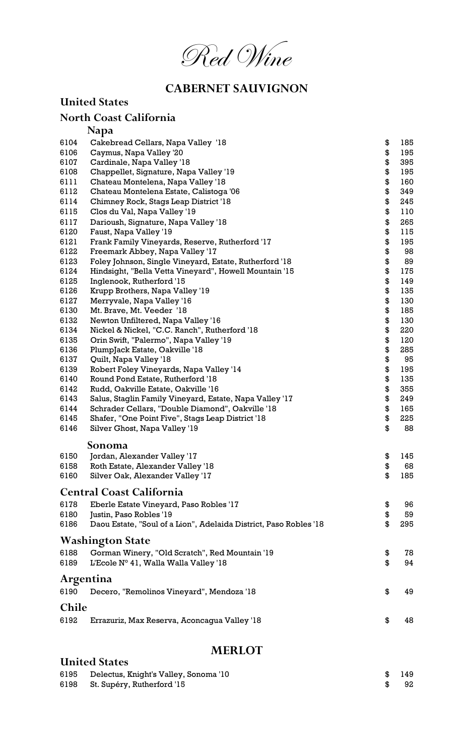

## CABERNET SAUVIGNON

|              | <b>United States</b>                                                     |          |            |
|--------------|--------------------------------------------------------------------------|----------|------------|
|              | North Coast California                                                   |          |            |
|              | <b>Napa</b>                                                              |          |            |
| 6104         | Cakebread Cellars, Napa Valley '18                                       | \$       | 185        |
| 6106         | Caymus, Napa Valley '20                                                  | \$       | 195        |
| 6107         | Cardinale, Napa Valley '18                                               | \$       | 395        |
| 6108         | Chappellet, Signature, Napa Valley '19                                   | \$       | 195        |
| 6111         | Chateau Montelena, Napa Valley '18                                       | \$       | 160        |
| 6112         | Chateau Montelena Estate, Calistoga '06                                  | \$       | 349        |
| 6114         | Chimney Rock, Stags Leap District '18                                    | \$       | 245        |
| 6115         | Clos du Val, Napa Valley '19                                             | \$       | 110        |
| 6117         | Darioush, Signature, Napa Valley '18                                     | \$       | 265        |
| 6120         | Faust, Napa Valley '19                                                   | \$       | 115        |
| 6121         | Frank Family Vineyards, Reserve, Rutherford '17                          | \$       | 195        |
| 6122         | Freemark Abbey, Napa Valley '17                                          | \$       | 98         |
| 6123         | Foley Johnson, Single Vineyard, Estate, Rutherford '18                   | \$       | 89         |
| 6124         | Hindsight, "Bella Vetta Vineyard", Howell Mountain '15                   | \$       | 175        |
| 6125         | Inglenook, Rutherford '15                                                | \$       | 149        |
| 6126         | Krupp Brothers, Napa Valley '19                                          | \$       | 135        |
| 6127         | Merryvale, Napa Valley '16                                               | \$       | 130        |
| 6130         | Mt. Brave, Mt. Veeder '18                                                | \$       | 185        |
| 6132         | Newton Unfiltered, Napa Valley '16                                       | \$       | 130        |
| 6134         | Nickel & Nickel, "C.C. Ranch", Rutherford '18                            | \$       | 220        |
| 6135         | Orin Swift, "Palermo", Napa Valley '19                                   | \$       | 120        |
| 6136         | PlumpJack Estate, Oakville '18                                           | \$       | 285        |
| 6137<br>6139 | Quilt, Napa Valley '18                                                   | \$       | 95         |
| 6140         | Robert Foley Vineyards, Napa Valley '14                                  | \$<br>\$ | 195<br>135 |
| 6142         | Round Pond Estate, Rutherford '18<br>Rudd, Oakville Estate, Oakville '16 | \$       | 355        |
| 6143         | Salus, Staglin Family Vineyard, Estate, Napa Valley '17                  | \$       | 249        |
| 6144         | Schrader Cellars, "Double Diamond", Oakville '18                         | \$       | 165        |
| 6145         | Shafer, "One Point Five", Stags Leap District '18                        | \$       | 225        |
| 6146         | Silver Ghost, Napa Valley '19                                            | \$       | 88         |
|              | Sonoma                                                                   |          |            |
| 6150         | Jordan, Alexander Valley '17                                             | \$       | 145        |
| 6158         | Roth Estate, Alexander Valley '18                                        | \$       | 68         |
| 6160         | Silver Oak, Alexander Valley '17                                         | \$       | 185        |
|              | <b>Central Coast California</b>                                          |          |            |
| 6178         |                                                                          |          | 96         |
| 6180         | Eberle Estate Vineyard, Paso Robles '17<br>Justin, Paso Robles '19       | \$<br>\$ | 59         |
| 6186         | Daou Estate, "Soul of a Lion", Adelaida District, Paso Robles '18        | \$       | 295        |
|              | <b>Washington State</b>                                                  |          |            |
| 6188         | Gorman Winery, "Old Scratch", Red Mountain '19                           | \$       | 78         |
| 6189         | L'Ecole N° 41, Walla Walla Valley '18                                    | \$       | 94         |
|              |                                                                          |          |            |
|              | Argentina                                                                |          |            |
| 6190         | Decero, "Remolinos Vineyard", Mendoza '18                                | \$       | 49         |
| <b>Chile</b> |                                                                          |          |            |
| 6192         | Errazuriz, Max Reserva, Aconcagua Valley '18                             | \$       | 48         |
|              | MERI OT                                                                  |          |            |
|              |                                                                          |          |            |

### MERLOT

| . |                                                                                                  |     |
|---|--------------------------------------------------------------------------------------------------|-----|
|   |                                                                                                  |     |
|   |                                                                                                  | 149 |
|   | - 96                                                                                             | 92. |
|   | <b>United States</b><br>6195 Delectus, Knight's Valley, Sonoma '10<br>St. Supéry, Rutherford '15 | -SG |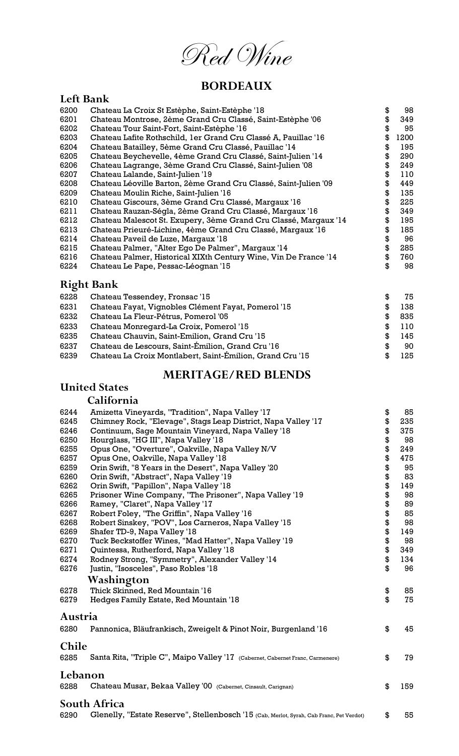Red Wine

## BORDEAUX

### Left Bank

| 6200 | Chateau La Croix St Estèphe, Saint-Estèphe '18                   | \$<br>98   |
|------|------------------------------------------------------------------|------------|
| 6201 | Chateau Montrose, 2ème Grand Cru Classé, Saint-Estèphe '06       | \$<br>349  |
| 6202 | Chateau Tour Saint-Fort, Saint-Estèphe '16                       | \$<br>95   |
| 6203 | Chateau Lafite Rothschild, 1er Grand Cru Classé A, Pauillac '16  | \$<br>1200 |
| 6204 | Chateau Batailley, 5ème Grand Cru Classé, Pauillac '14           | \$<br>195  |
| 6205 | Chateau Beychevelle, 4ème Grand Cru Classé, Saint-Julien '14     | \$<br>290  |
| 6206 | Chateau Lagrange, 3ème Grand Cru Classé, Saint-Julien '08        | \$<br>249  |
| 6207 | Chateau Lalande, Saint-Julien '19                                | \$<br>110  |
| 6208 | Chateau Léoville Barton, 2ème Grand Cru Classé, Saint-Julien '09 | \$<br>449  |
| 6209 | Chateau Moulin Riche, Saint-Julien '16                           | \$<br>135  |
| 6210 | Chateau Giscours, 3ème Grand Cru Classé, Margaux '16             | \$<br>225  |
| 6211 | Chateau Rauzan-Ségla, 2ème Grand Cru Classé, Margaux '16         | \$<br>349  |
| 6212 | Chateau Malescot St. Exupery, 3ème Grand Cru Classé, Margaux '14 | \$<br>195  |
| 6213 | Chateau Prieuré-Lichine, 4ème Grand Cru Classé, Margaux '16      | \$<br>185  |
| 6214 | Chateau Paveil de Luze, Margaux '18                              | \$<br>96   |
| 6215 | Chateau Palmer, "Alter Ego De Palmer", Margaux '14               | \$<br>285  |
| 6216 | Chateau Palmer, Historical XIXth Century Wine, Vin De France '14 | \$<br>760  |
| 6224 | Chateau Le Pape, Pessac-Léognan '15                              | \$<br>98   |
|      | <b>Right Bank</b>                                                |            |
| 6228 | Chateau Tessendey, Fronsac '15                                   | \$<br>75   |
| 6231 | Chateau Fayat, Vignobles Clément Fayat, Pomerol '15              | \$<br>138  |
| 6232 | Chateau La Fleur-Pétrus, Pomerol '05                             | \$<br>835  |
| 6233 | Chateau Monregard-La Croix, Pomerol '15                          | \$<br>110  |
| 6235 | Chateau Chauvin, Saint-Emilion, Grand Cru '15                    | \$<br>145  |
| 6237 | Chateau de Lescours, Saint-Émilion, Grand Cru'l6                 | \$<br>90   |
| 6239 | Chateau La Croix Montlabert, Saint-Émilion, Grand Cru '15        | \$<br>125  |

#### MERITAGE/RED BLENDS

### United States

#### California

| 6244<br>Amizetta Vineyards, "Tradition", Napa Valley '17                                         | \$ | 85  |
|--------------------------------------------------------------------------------------------------|----|-----|
| 6245<br>Chimney Rock, "Elevage", Stags Leap District, Napa Valley '17                            | \$ | 235 |
| 6246<br>Continuum, Sage Mountain Vineyard, Napa Valley '18                                       | \$ | 375 |
| 6250<br>Hourglass, "HG III", Napa Valley '18                                                     | \$ | 98  |
| 6255<br>Opus One, "Overture", Oakville, Napa Valley N/V                                          | \$ | 249 |
| 6257<br>Opus One, Oakville, Napa Valley '18                                                      | \$ | 475 |
| 6259<br>Orin Swift, "8 Years in the Desert", Napa Valley '20                                     | \$ | 95  |
| 6260<br>Orin Swift, "Abstract", Napa Valley '19                                                  | \$ | 83  |
| 6262<br>Orin Swift, "Papillon", Napa Valley '18                                                  | \$ | 149 |
| 6265<br>Prisoner Wine Company, "The Prisoner", Napa Valley '19                                   | \$ | 98  |
| 6266<br>Ramey, "Claret", Napa Valley '17                                                         | \$ | 89  |
| 6267<br>Robert Foley, "The Griffin", Napa Valley '16                                             | \$ | 85  |
| 6268<br>Robert Sinskey, "POV", Los Carneros, Napa Valley '15                                     | \$ | 98  |
| 6269<br>Shafer TD-9, Napa Valley '18                                                             | \$ | 149 |
| 6270<br>Tuck Beckstoffer Wines, "Mad Hatter", Napa Valley '19                                    | \$ | 98  |
| 6271<br>Quintessa, Rutherford, Napa Valley '18                                                   | \$ | 349 |
| 6274<br>Rodney Strong, "Symmetry", Alexander Valley '14                                          | \$ | 134 |
| 6276<br>Justin, "Isosceles", Paso Robles '18                                                     | \$ | 96  |
| Washington                                                                                       |    |     |
| Thick Skinned, Red Mountain '16<br>6278                                                          | \$ | 85  |
| 6279<br>Hedges Family Estate, Red Mountain '18                                                   | \$ | 75  |
|                                                                                                  |    |     |
| Austria                                                                                          |    |     |
| 6280<br>Pannonica, Bläufrankisch, Zweigelt & Pinot Noir, Burgenland '16                          | \$ | 45  |
| <b>Chile</b>                                                                                     |    |     |
| 6285<br>Santa Rita, "Triple C", Maipo Valley '17 (Cabernet, Cabernet Franc, Carmenere)           | \$ | 79  |
| Lebanon                                                                                          |    |     |
| 6288<br>Chateau Musar, Bekaa Valley '00 (Cabernet, Cinsault, Carignan)                           | \$ | 159 |
|                                                                                                  |    |     |
| South Africa                                                                                     |    |     |
| Glenelly, "Estate Reserve", Stellenbosch '15 (Cab, Merlot, Syrah, Cab Franc, Pet Verdot)<br>6290 | \$ | 55  |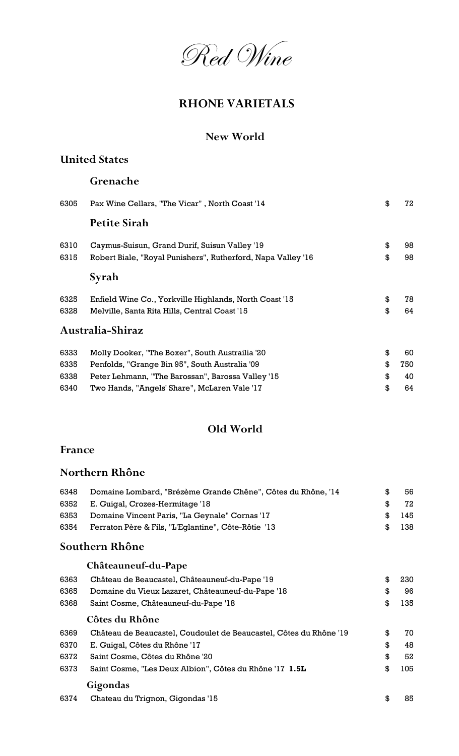

## RHONE VARIETALS

### New World

### United States

### Grenache

| 6305 | Pax Wine Cellars, "The Vicar", North Coast '14               | \$<br>72  |
|------|--------------------------------------------------------------|-----------|
|      | <b>Petite Sirah</b>                                          |           |
| 6310 | Caymus-Suisun, Grand Durif, Suisun Valley '19                | \$<br>98  |
| 6315 | Robert Biale, "Royal Punishers", Rutherford, Napa Valley '16 | \$<br>98  |
|      | Syrah                                                        |           |
| 6325 | Enfield Wine Co., Yorkville Highlands, North Coast '15       | \$<br>78  |
| 6328 | Melville, Santa Rita Hills, Central Coast '15                | \$<br>64  |
|      | Australia-Shiraz                                             |           |
| 6333 | Molly Dooker, "The Boxer", South Austrailia '20              | \$<br>60  |
| 6335 | Penfolds, "Grange Bin 95", South Australia '09               | \$<br>750 |
| 6338 | Peter Lehmann, "The Barossan", Barossa Valley '15            | \$<br>40  |
| 6340 | Two Hands, "Angels' Share", McLaren Vale '17                 | \$<br>64  |

### Old World

### France

### Northern Rhône

| 6348 | Domaine Lombard, "Brézème Grande Chêne", Côtes du Rhône, '14 |            | 56  |
|------|--------------------------------------------------------------|------------|-----|
| 6352 | E. Guigal, Crozes-Hermitage '18                              |            | 72  |
| 6353 | Domaine Vincent Paris, "La Geynale" Cornas '17               | <b>.S.</b> | 145 |
| 6354 | Ferraton Père & Fils, "L'Eglantine", Côte-Rôtie '13          | <b>.S.</b> | 138 |

### Southern Rhône

|      | Châteauneuf-du-Pape                                                |           |
|------|--------------------------------------------------------------------|-----------|
| 6363 | Château de Beaucastel, Châteauneuf-du-Pape '19                     | \$<br>230 |
| 6365 | Domaine du Vieux Lazaret, Châteauneuf-du-Pape '18                  | \$<br>96  |
| 6368 | Saint Cosme, Châteauneuf-du-Pape '18                               | \$<br>135 |
|      | Côtes du Rhône                                                     |           |
| 6369 | Château de Beaucastel, Coudoulet de Beaucastel, Côtes du Rhône '19 | \$<br>70  |
| 6370 | E. Guigal, Côtes du Rhône '17                                      | \$<br>48  |
| 6372 | Saint Cosme, Côtes du Rhône '20                                    | \$<br>52  |
| 6373 | Saint Cosme, "Les Deux Albion", Côtes du Rhône '17 1.5L            | \$<br>105 |
|      | Gigondas                                                           |           |
| 6374 | Chateau du Trignon, Gigondas '15                                   | \$<br>85  |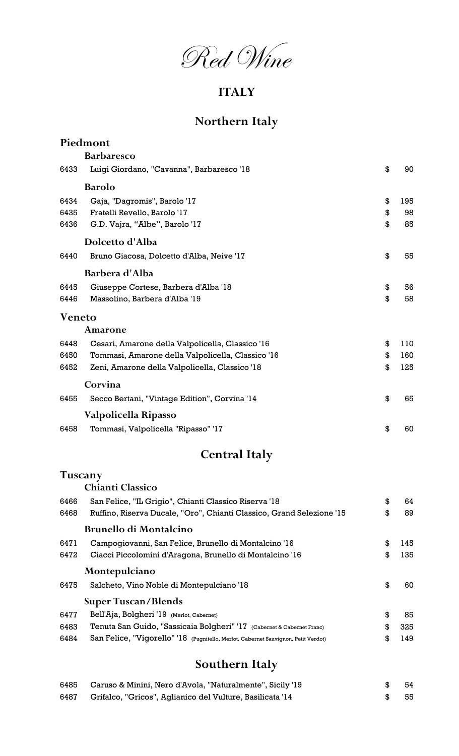Red Wine

# ITALY

# Northern Italy

|                      | Piedmont                                          |    |     |  |
|----------------------|---------------------------------------------------|----|-----|--|
|                      | <b>Barbaresco</b>                                 |    |     |  |
| 6433                 | Luigi Giordano, "Cavanna", Barbaresco '18         | \$ | 90  |  |
|                      | <b>Barolo</b>                                     |    |     |  |
| 6434                 | Gaja, "Dagromis", Barolo '17                      | \$ | 195 |  |
| 6435                 | Fratelli Revello, Barolo '17                      | \$ | 98  |  |
| 6436                 | G.D. Vajra, "Albe", Barolo '17                    | \$ | 85  |  |
|                      | Dolcetto d'Alba                                   |    |     |  |
| 6440                 | Bruno Giacosa, Dolcetto d'Alba, Neive '17         | \$ | 55  |  |
|                      | Barbera d'Alba                                    |    |     |  |
| 6445                 | Giuseppe Cortese, Barbera d'Alba '18              | \$ | 56  |  |
| 6446                 | Massolino, Barbera d'Alba '19                     | \$ | 58  |  |
| <b>Veneto</b>        |                                                   |    |     |  |
|                      | Amarone                                           |    |     |  |
| 6448                 | Cesari, Amarone della Valpolicella, Classico '16  | \$ | 110 |  |
| 6450                 | Tommasi, Amarone della Valpolicella, Classico '16 | \$ | 160 |  |
| 6452                 | Zeni, Amarone della Valpolicella, Classico '18    | \$ | 125 |  |
|                      | Corvina                                           |    |     |  |
| 6455                 | Secco Bertani, "Vintage Edition", Corvina '14     | \$ | 65  |  |
|                      | Valpolicella Ripasso                              |    |     |  |
| 6458                 | Tommasi, Valpolicella "Ripasso" '17               | \$ | 60  |  |
| <b>Central Italy</b> |                                                   |    |     |  |
|                      | Tuscany                                           |    |     |  |
|                      | <b>Chianti Classico</b>                           |    |     |  |

| 6466 | San Felice, "IL Grigio", Chianti Classico Riserva '18                              | \$<br>64  |
|------|------------------------------------------------------------------------------------|-----------|
| 6468 | Ruffino, Riserva Ducale, "Oro", Chianti Classico, Grand Selezione '15              | \$<br>89  |
|      | <b>Brunello di Montalcino</b>                                                      |           |
| 6471 | Campogiovanni, San Felice, Brunello di Montalcino '16                              | \$<br>145 |
| 6472 | Ciacci Piccolomini d'Aragona, Brunello di Montalcino '16                           | \$<br>135 |
|      | Montepulciano                                                                      |           |
| 6475 | Salcheto, Vino Noble di Montepulciano '18                                          | \$<br>60. |
|      | <b>Super Tuscan/Blends</b>                                                         |           |
| 6477 | Bell'Aja, Bolgheri '19 (Merlot, Cabernet)                                          | \$<br>85  |
| 6483 | Tenuta San Guido, "Sassicaia Bolgheri" '17 (Cabernet & Cabernet Franc)             | \$<br>325 |
| 6484 | San Felice, "Vigorello" '18 (Pugnitello, Merlot, Cabernet Sauvignon, Petit Verdot) | \$<br>149 |
|      |                                                                                    |           |

# Southern Italy

|      | 6485 Caruso & Minini, Nero d'Avola, "Naturalmente", Sicily '19 | - 54 |
|------|----------------------------------------------------------------|------|
| 6487 | Grifalco, "Gricos", Aglianico del Vulture, Basilicata '14      | - 55 |